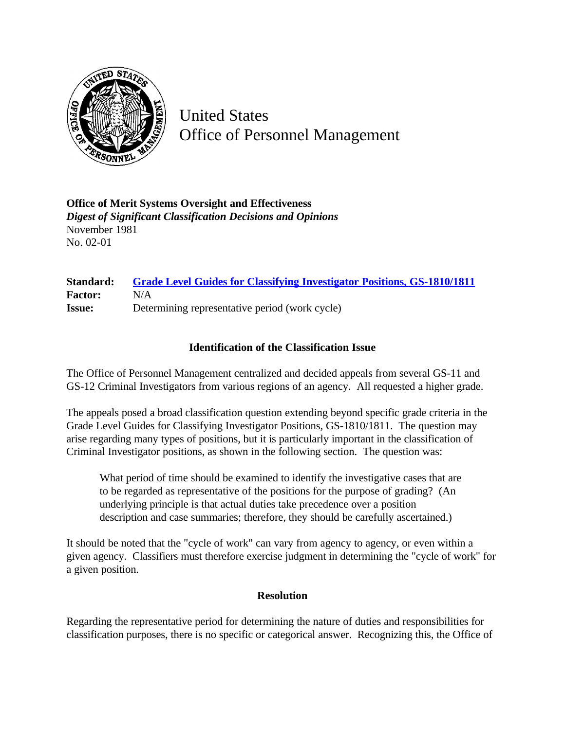

United States Office of Personnel Management

**Office of Merit Systems Oversight and Effectiveness** *Digest of Significant Classification Decisions and Opinions* November 1981 No. 02-01

## **Standard: [Grade Level Guides for Classifying Investigator Positions, GS-1810/1811](http://www.opm.gov/hr/fedclass/gs181011.pdf) Factor:** N/A **Issue:** Determining representative period (work cycle)

## **Identification of the Classification Issue**

The Office of Personnel Management centralized and decided appeals from several GS-11 and GS-12 Criminal Investigators from various regions of an agency. All requested a higher grade.

The appeals posed a broad classification question extending beyond specific grade criteria in the Grade Level Guides for Classifying Investigator Positions, GS-1810/1811. The question may arise regarding many types of positions, but it is particularly important in the classification of Criminal Investigator positions, as shown in the following section. The question was:

What period of time should be examined to identify the investigative cases that are to be regarded as representative of the positions for the purpose of grading? (An underlying principle is that actual duties take precedence over a position description and case summaries; therefore, they should be carefully ascertained.)

It should be noted that the "cycle of work" can vary from agency to agency, or even within a given agency. Classifiers must therefore exercise judgment in determining the "cycle of work" for a given position.

## **Resolution**

Regarding the representative period for determining the nature of duties and responsibilities for classification purposes, there is no specific or categorical answer. Recognizing this, the Office of